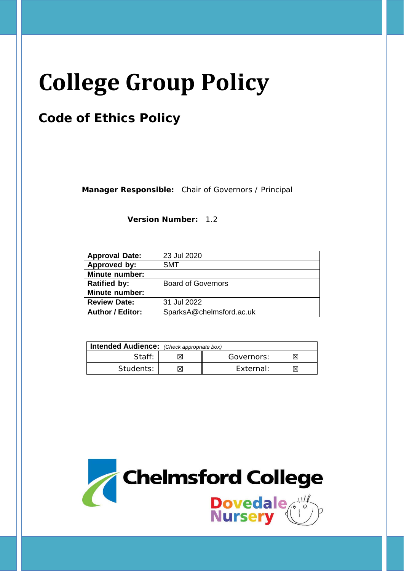# **College Group Policy**

# **Code of Ethics Policy**

**Manager Responsible:** Chair of Governors / Principal

**Version Number:** 1.2

| <b>Approval Date:</b>   | 23 Jul 2020               |
|-------------------------|---------------------------|
| Approved by:            | <b>SMT</b>                |
| <b>Minute number:</b>   |                           |
| <b>Ratified by:</b>     | <b>Board of Governors</b> |
| <b>Minute number:</b>   |                           |
| <b>Review Date:</b>     | 31 Jul 2022               |
| <b>Author / Editor:</b> | SparksA@chelmsford.ac.uk  |

| <b>Intended Audience:</b> (Check appropriate box) |  |            |  |
|---------------------------------------------------|--|------------|--|
| Staff:                                            |  | Governors: |  |
| Students:                                         |  | External:  |  |

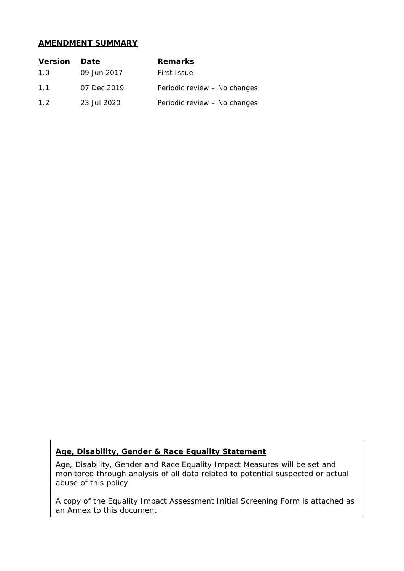#### **AMENDMENT SUMMARY**

| <b>Version</b> | Date        | <b>Remarks</b>               |
|----------------|-------------|------------------------------|
| 1.0            | 09 Jun 2017 | First Issue                  |
| 11             | 07 Dec 2019 | Periodic review - No changes |
| 1.2            | 23 Jul 2020 | Periodic review - No changes |

#### **Age, Disability, Gender & Race Equality Statement**

Age, Disability, Gender and Race Equality Impact Measures will be set and monitored through analysis of all data related to potential suspected or actual abuse of this policy.

A copy of the Equality Impact Assessment Initial Screening Form is attached as an Annex to this document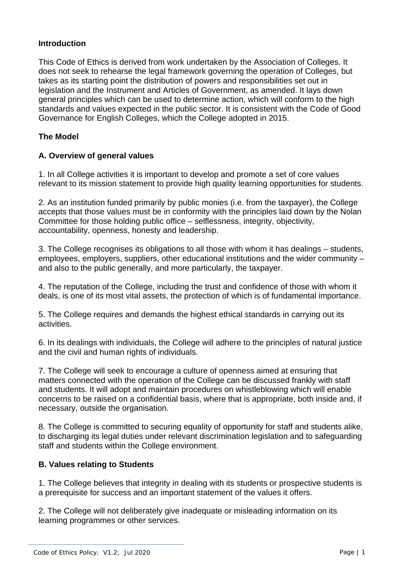# **Introduction**

This Code of Ethics is derived from work undertaken by the Association of Colleges. It does not seek to rehearse the legal framework governing the operation of Colleges, but takes as its starting point the distribution of powers and responsibilities set out in legislation and the Instrument and Articles of Government, as amended. It lays down general principles which can be used to determine action, which will conform to the high standards and values expected in the public sector. It is consistent with the Code of Good Governance for English Colleges, which the College adopted in 2015.

# **The Model**

#### **A. Overview of general values**

1. In all College activities it is important to develop and promote a set of core values relevant to its mission statement to provide high quality learning opportunities for students.

2. As an institution funded primarily by public monies (i.e. from the taxpayer), the College accepts that those values must be in conformity with the principles laid down by the Nolan Committee for those holding public office – selflessness, integrity, objectivity, accountability, openness, honesty and leadership.

3. The College recognises its obligations to all those with whom it has dealings – students, employees, employers, suppliers, other educational institutions and the wider community – and also to the public generally, and more particularly, the taxpayer.

4. The reputation of the College, including the trust and confidence of those with whom it deals, is one of its most vital assets, the protection of which is of fundamental importance.

5. The College requires and demands the highest ethical standards in carrying out its activities.

6. In its dealings with individuals, the College will adhere to the principles of natural justice and the civil and human rights of individuals.

7. The College will seek to encourage a culture of openness aimed at ensuring that matters connected with the operation of the College can be discussed frankly with staff and students. It will adopt and maintain procedures on whistleblowing which will enable concerns to be raised on a confidential basis, where that is appropriate, both inside and, if necessary, outside the organisation.

8. The College is committed to securing equality of opportunity for staff and students alike, to discharging its legal duties under relevant discrimination legislation and to safeguarding staff and students within the College environment.

#### **B. Values relating to Students**

1. The College believes that integrity in dealing with its students or prospective students is a prerequisite for success and an important statement of the values it offers.

2. The College will not deliberately give inadequate or misleading information on its learning programmes or other services.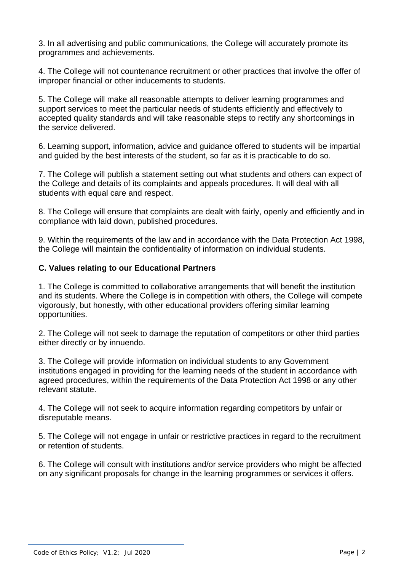3. In all advertising and public communications, the College will accurately promote its programmes and achievements.

4. The College will not countenance recruitment or other practices that involve the offer of improper financial or other inducements to students.

5. The College will make all reasonable attempts to deliver learning programmes and support services to meet the particular needs of students efficiently and effectively to accepted quality standards and will take reasonable steps to rectify any shortcomings in the service delivered.

6. Learning support, information, advice and guidance offered to students will be impartial and guided by the best interests of the student, so far as it is practicable to do so.

7. The College will publish a statement setting out what students and others can expect of the College and details of its complaints and appeals procedures. It will deal with all students with equal care and respect.

8. The College will ensure that complaints are dealt with fairly, openly and efficiently and in compliance with laid down, published procedures.

9. Within the requirements of the law and in accordance with the Data Protection Act 1998, the College will maintain the confidentiality of information on individual students.

### **C. Values relating to our Educational Partners**

1. The College is committed to collaborative arrangements that will benefit the institution and its students. Where the College is in competition with others, the College will compete vigorously, but honestly, with other educational providers offering similar learning opportunities.

2. The College will not seek to damage the reputation of competitors or other third parties either directly or by innuendo.

3. The College will provide information on individual students to any Government institutions engaged in providing for the learning needs of the student in accordance with agreed procedures, within the requirements of the Data Protection Act 1998 or any other relevant statute.

4. The College will not seek to acquire information regarding competitors by unfair or disreputable means.

5. The College will not engage in unfair or restrictive practices in regard to the recruitment or retention of students.

6. The College will consult with institutions and/or service providers who might be affected on any significant proposals for change in the learning programmes or services it offers.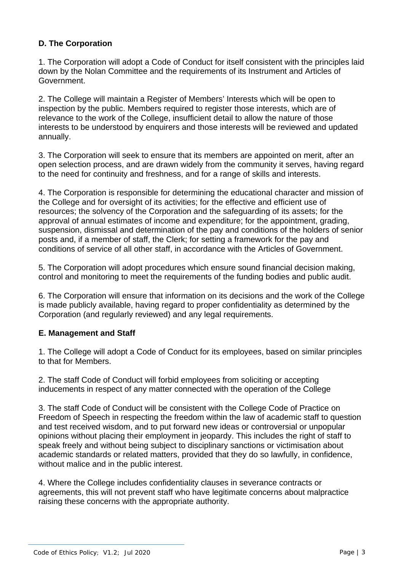# **D. The Corporation**

1. The Corporation will adopt a Code of Conduct for itself consistent with the principles laid down by the Nolan Committee and the requirements of its Instrument and Articles of Government.

2. The College will maintain a Register of Members' Interests which will be open to inspection by the public. Members required to register those interests, which are of relevance to the work of the College, insufficient detail to allow the nature of those interests to be understood by enquirers and those interests will be reviewed and updated annually.

3. The Corporation will seek to ensure that its members are appointed on merit, after an open selection process, and are drawn widely from the community it serves, having regard to the need for continuity and freshness, and for a range of skills and interests.

4. The Corporation is responsible for determining the educational character and mission of the College and for oversight of its activities; for the effective and efficient use of resources; the solvency of the Corporation and the safeguarding of its assets; for the approval of annual estimates of income and expenditure; for the appointment, grading, suspension, dismissal and determination of the pay and conditions of the holders of senior posts and, if a member of staff, the Clerk; for setting a framework for the pay and conditions of service of all other staff, in accordance with the Articles of Government.

5. The Corporation will adopt procedures which ensure sound financial decision making, control and monitoring to meet the requirements of the funding bodies and public audit.

6. The Corporation will ensure that information on its decisions and the work of the College is made publicly available, having regard to proper confidentiality as determined by the Corporation (and regularly reviewed) and any legal requirements.

# **E. Management and Staff**

1. The College will adopt a Code of Conduct for its employees, based on similar principles to that for Members.

2. The staff Code of Conduct will forbid employees from soliciting or accepting inducements in respect of any matter connected with the operation of the College

3. The staff Code of Conduct will be consistent with the College Code of Practice on Freedom of Speech in respecting the freedom within the law of academic staff to question and test received wisdom, and to put forward new ideas or controversial or unpopular opinions without placing their employment in jeopardy. This includes the right of staff to speak freely and without being subject to disciplinary sanctions or victimisation about academic standards or related matters, provided that they do so lawfully, in confidence, without malice and in the public interest.

4. Where the College includes confidentiality clauses in severance contracts or agreements, this will not prevent staff who have legitimate concerns about malpractice raising these concerns with the appropriate authority.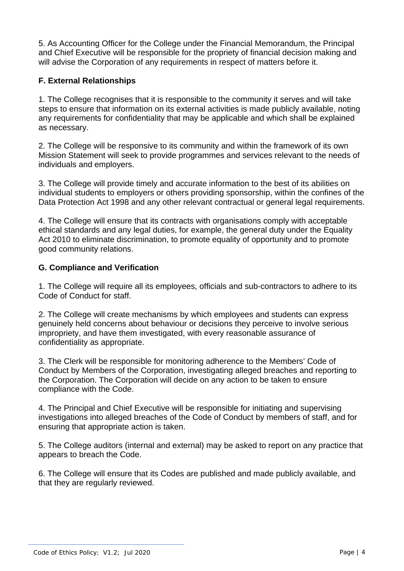5. As Accounting Officer for the College under the Financial Memorandum, the Principal and Chief Executive will be responsible for the propriety of financial decision making and will advise the Corporation of any requirements in respect of matters before it.

# **F. External Relationships**

1. The College recognises that it is responsible to the community it serves and will take steps to ensure that information on its external activities is made publicly available, noting any requirements for confidentiality that may be applicable and which shall be explained as necessary.

2. The College will be responsive to its community and within the framework of its own Mission Statement will seek to provide programmes and services relevant to the needs of individuals and employers.

3. The College will provide timely and accurate information to the best of its abilities on individual students to employers or others providing sponsorship, within the confines of the Data Protection Act 1998 and any other relevant contractual or general legal requirements.

4. The College will ensure that its contracts with organisations comply with acceptable ethical standards and any legal duties, for example, the general duty under the Equality Act 2010 to eliminate discrimination, to promote equality of opportunity and to promote good community relations.

# **G. Compliance and Verification**

1. The College will require all its employees, officials and sub-contractors to adhere to its Code of Conduct for staff.

2. The College will create mechanisms by which employees and students can express genuinely held concerns about behaviour or decisions they perceive to involve serious impropriety, and have them investigated, with every reasonable assurance of confidentiality as appropriate.

3. The Clerk will be responsible for monitoring adherence to the Members' Code of Conduct by Members of the Corporation, investigating alleged breaches and reporting to the Corporation. The Corporation will decide on any action to be taken to ensure compliance with the Code.

4. The Principal and Chief Executive will be responsible for initiating and supervising investigations into alleged breaches of the Code of Conduct by members of staff, and for ensuring that appropriate action is taken.

5. The College auditors (internal and external) may be asked to report on any practice that appears to breach the Code.

6. The College will ensure that its Codes are published and made publicly available, and that they are regularly reviewed.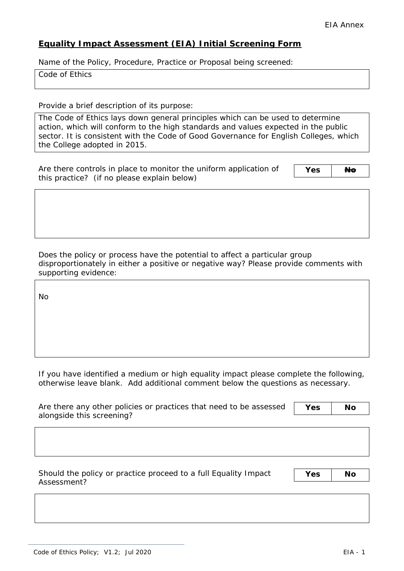# **Equality Impact Assessment (EIA) Initial Screening Form**

Name of the Policy, Procedure, Practice or Proposal being screened:

Code of Ethics

Provide a brief description of its purpose:

The Code of Ethics lays down general principles which can be used to determine action, which will conform to the high standards and values expected in the public sector. It is consistent with the Code of Good Governance for English Colleges, which the College adopted in 2015.

Are there controls in place to monitor the uniform application of this practice? (if no please explain below)

Yes **Ho** 

Does the policy or process have the potential to affect a particular group disproportionately in either a positive or negative way? Please provide comments with supporting evidence:

No

If you have identified a medium or high equality impact please complete the following, otherwise leave blank. Add additional comment below the questions as necessary.

| Are there any other policies or practices that need to be assessed | Yes | <b>No</b> |
|--------------------------------------------------------------------|-----|-----------|
| alongside this screening?                                          |     |           |

Should the policy or practice proceed to a full Equality Impact Assessment?

**Yes No**